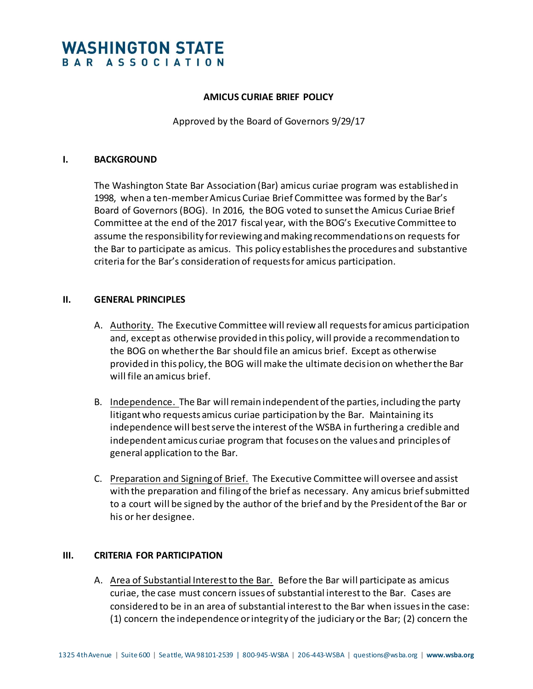# **WASHINGTON STATE** BAR ASSOCIATION

#### **AMICUS CURIAE BRIEF POLICY**

Approved by the Board of Governors 9/29/17

#### **I. BACKGROUND**

The Washington State Bar Association (Bar) amicus curiae program was established in 1998, when a ten-member Amicus Curiae Brief Committee was formed by the Bar's Board of Governors (BOG). In 2016, the BOG voted to sunset the Amicus Curiae Brief Committee at the end of the 2017 fiscal year, with the BOG's Executive Committee to assume the responsibility for reviewing and making recommendations on requests for the Bar to participate as amicus. This policy establishes the procedures and substantive criteria for the Bar's consideration of requests for amicus participation.

#### **II. GENERAL PRINCIPLES**

- A. Authority. The Executive Committee will review all requests for amicus participation and, except as otherwise provided in this policy, will provide a recommendation to the BOG on whether the Bar should file an amicus brief. Except as otherwise provided in this policy, the BOG will make the ultimate decision on whether the Bar will file an amicus brief.
- B. Independence. The Bar will remain independent of the parties, including the party litigant who requests amicus curiae participation by the Bar. Maintaining its independence will best serve the interest of the WSBA in furthering a credible and independent amicus curiae program that focuses on the values and principles of general application to the Bar.
- C. Preparation and Signing of Brief. The Executive Committee will oversee and assist with the preparation and filing of the brief as necessary. Any amicus brief submitted to a court will be signed by the author of the brief and by the President of the Bar or his or her designee.

## **III. CRITERIA FOR PARTICIPATION**

A. Area of Substantial Interest to the Bar. Before the Bar will participate as amicus curiae, the case must concern issues of substantial interest to the Bar. Cases are considered to be in an area of substantial interest to the Bar when issues in the case: (1) concern the independence or integrity of the judiciary or the Bar; (2) concern the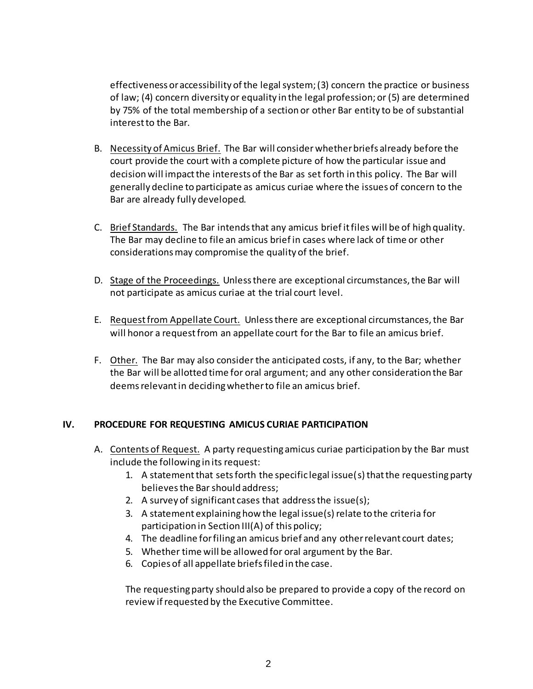effectiveness or accessibility of the legal system; (3) concern the practice or business of law; (4) concern diversity or equality in the legal profession; or (5) are determined by 75% of the total membership of a section or other Bar entity to be of substantial interest to the Bar.

- B. Necessity of Amicus Brief. The Bar will considerwhether briefs already before the court provide the court with a complete picture of how the particular issue and decision will impact the interests of the Bar as set forth in this policy. The Bar will generally decline to participate as amicus curiae where the issues of concern to the Bar are already fully developed.
- C. Brief Standards. The Bar intends that any amicus brief it files will be of high quality. The Bar may decline to file an amicus brief in cases where lack of time or other considerations may compromise the quality of the brief.
- D. Stage of the Proceedings. Unless there are exceptional circumstances, the Bar will not participate as amicus curiae at the trial court level.
- E. Request from Appellate Court. Unless there are exceptional circumstances, the Bar will honor a request from an appellate court for the Bar to file an amicus brief.
- F. Other. The Bar may also consider the anticipated costs, if any, to the Bar; whether the Bar will be allotted time for oral argument; and any other consideration the Bar deems relevant in deciding whether to file an amicus brief.

# **IV. PROCEDURE FOR REQUESTING AMICUS CURIAE PARTICIPATION**

- A. Contents of Request. A party requesting amicus curiae participation by the Bar must include the following in its request:
	- 1. A statement that sets forth the specific legal issue(s) that the requesting party believes the Bar should address;
	- 2. A survey of significant cases that address the issue(s);
	- 3. A statement explaining how the legal issue(s) relate to the criteria for participation in Section III(A) of this policy;
	- 4. The deadline for filing an amicus brief and any other relevant court dates;
	- 5. Whether time will be allowed for oral argument by the Bar.
	- 6. Copies of all appellate briefs filed in the case.

The requesting party should also be prepared to provide a copy of the record on review if requested by the Executive Committee.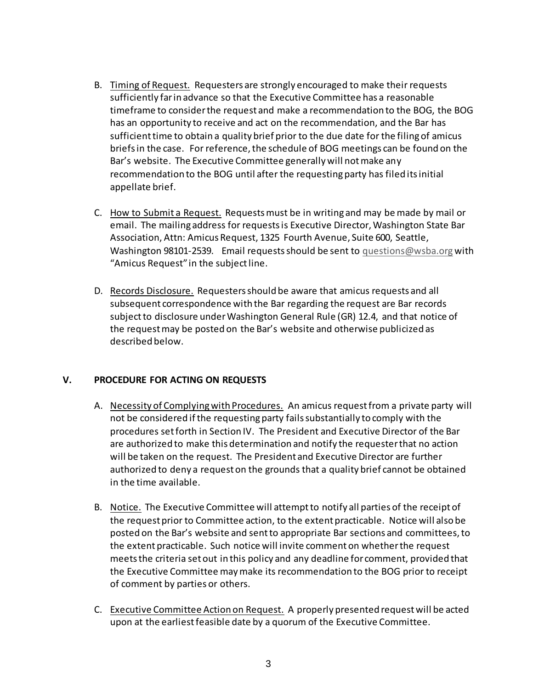- B. Timing of Request. Requesters are strongly encouraged to make their requests sufficiently far in advance so that the Executive Committee has a reasonable timeframe to consider the request and make a recommendation to the BOG, the BOG has an opportunity to receive and act on the recommendation, and the Bar has sufficient time to obtain a quality brief prior to the due date for the filing of amicus briefs in the case. For reference, the schedule of BOG meetings can be found on the Bar's website. The Executive Committee generally will not make any recommendation to the BOG until after the requesting party has filed its initial appellate brief.
- C. How to Submit a Request. Requests must be in writing and may be made by mail or email. The mailing address for requests is Executive Director, Washington State Bar Association, Attn: Amicus Request, 1325 Fourth Avenue, Suite 600, Seattle, Washington 98101-2539. Email requests should be sent to [questions@wsba.org](mailto:questions@wsba.org) with "Amicus Request" in the subject line.
- D. Records Disclosure. Requesters should be aware that amicus requests and all subsequent correspondence with the Bar regarding the request are Bar records subject to disclosure under Washington General Rule (GR) 12.4, and that notice of the request may be posted on the Bar's website and otherwise publicized as described below.

## **V. PROCEDURE FOR ACTING ON REQUESTS**

- A. Necessity of Complying with Procedures. An amicus request from a private party will not be considered if the requesting party fails substantially to comply with the procedures set forth in Section IV. The President and Executive Director of the Bar are authorized to make this determination and notify the requester that no action will be taken on the request. The President and Executive Director are further authorized to deny a request on the grounds that a quality brief cannot be obtained in the time available.
- B. Notice. The Executive Committee will attempt to notify all parties of the receipt of the request prior to Committee action, to the extent practicable. Notice will also be posted on the Bar's website and sent to appropriate Bar sections and committees, to the extent practicable. Such notice will invite comment on whether the request meets the criteria set out in this policy and any deadline for comment, provided that the Executive Committee may make its recommendation to the BOG prior to receipt of comment by parties or others.
- C. Executive Committee Action on Request. A properly presented request will be acted upon at the earliest feasible date by a quorum of the Executive Committee.